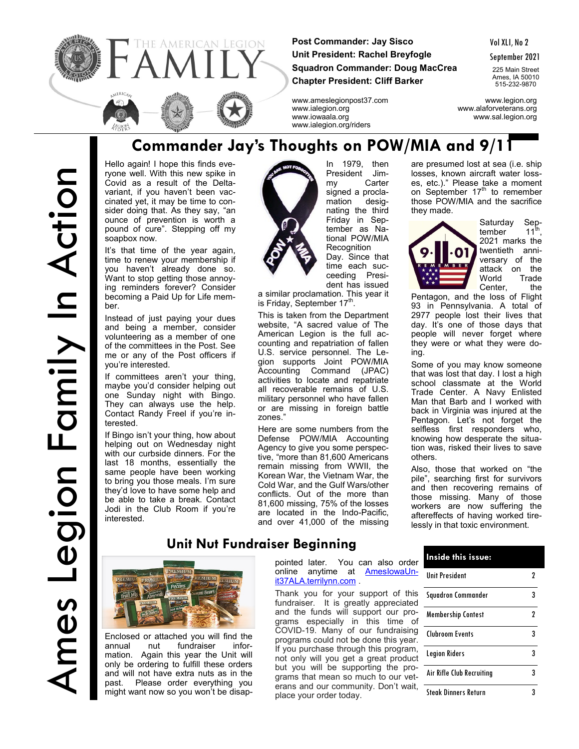

**Post Commander: Jay Sisco Unit President: Rachel Breyfogle Squadron Commander: Doug MacCrea Chapter President: Cliff Barker**

Vol XLI, No 2

September 2021

225 Main Street Ames, IA 50010 515-232-9870

www.ameslegionpost37.com www.legion.org www.ialegion.org www.alaforveterans.org www.iowaala.org www.sal.legion.org www.ialegion.org/riders

# Ames Legion Family In Action Ames Legion Family In Action

#### **Commander Jay's Thoughts on POW/MIA and 9/11**

Hello again! I hope this finds everyone well. With this new spike in Covid as a result of the Deltavariant, if you haven't been vaccinated yet, it may be time to consider doing that. As they say, "an ounce of prevention is worth a pound of cure". Stepping off my soapbox now.

It's that time of the year again, time to renew your membership if you haven't already done so. Want to stop getting those annoying reminders forever? Consider becoming a Paid Up for Life member.

Instead of just paying your dues and being a member, consider volunteering as a member of one of the committees in the Post. See me or any of the Post officers if you're interested.

If committees aren't your thing, maybe you'd consider helping out one Sunday night with Bingo. They can always use the help. Contact Randy Freel if you're interested.

If Bingo isn't your thing, how about helping out on Wednesday night with our curbside dinners. For the last 18 months, essentially the same people have been working to bring you those meals. I'm sure they'd love to have some help and be able to take a break. Contact Jodi in the Club Room if you're interested.



my Carter signed a proclamation designating the third Friday in September as National POW/MIA **Recognition** Day. Since that time each succeeding Presi-

In 1979, then President Jim-

a similar proclamation. This year it is Friday, September 17<sup>th</sup>.

This is taken from the Department website, "A sacred value of The American Legion is the full accounting and repatriation of fallen U.S. service personnel. The Legion supports Joint POW/MIA Accounting Command (JPAC) activities to locate and repatriate all recoverable remains of U.S. military personnel who have fallen or are missing in foreign battle zones."

#### are presumed lost at sea (i.e. ship losses, known aircraft water losses, etc.)." Please take a moment on September  $17<sup>th</sup>$  to remember those POW/MIA and the sacrifice they made.



Saturday September  $11^{\text{th}}$ 2021 marks the twentieth anniversary of the attack on the World Trade Center, the

Pentagon, and the loss of Flight 93 in Pennsylvania. A total of 2977 people lost their lives that day. It's one of those days that people will never forget where they were or what they were doing.

Some of you may know someone that was lost that day. I lost a high school classmate at the World Trade Center. A Navy Enlisted Man that Barb and I worked with back in Virginia was injured at the Pentagon. Let's not forget the selfless first responders who, knowing how desperate the situation was, risked their lives to save others.

Also, those that worked on "the pile", searching first for survivors and then recovering remains of those missing. Many of those workers are now suffering the aftereffects of having worked tirelessly in that toxic environment.

## **DIMETTION**

Enclosed or attached you will find the annual nut fundraiser information. Again this year the Unit will only be ordering to fulfill these orders and will not have extra nuts as in the past. Please order everything you might want now so you won't be disappointed later. You can also order<br>online anytime at AmeslowaUnonline anytime at [it37ALA.terrilynn.com](https://amesiowaunit37ala.terrilynn.com/) .

Thank you for your support of this fundraiser. It is greatly appreciated and the funds will support our programs especially in this time of COVID-19. Many of our fundraising programs could not be done this year. If you purchase through this program, not only will you get a great product but you will be supporting the programs that mean so much to our veterans and our community. Don't wait, place your order today.

| Inside this issue:          |   |  |
|-----------------------------|---|--|
| <b>Unit President</b>       |   |  |
| Squadron Commander          | 3 |  |
| <b>Membership Contest</b>   | 7 |  |
| <b>Clubroom Events</b>      | 3 |  |
| <b>Legion Riders</b>        | 3 |  |
| Air Rifle Club Recruiting   | 3 |  |
| <b>Steak Dinners Return</b> |   |  |

## dent has issued

Here are some numbers from the Defense POW/MIA Accounting Agency to give you some perspective, "more than 81,600 Americans remain missing from WWII, the Korean War, the Vietnam War, the Cold War, and the Gulf Wars/other conflicts. Out of the more than 81,600 missing, 75% of the losses are located in the Indo-Pacific, and over 41,000 of the missing

**Unit Nut Fundraiser Beginning**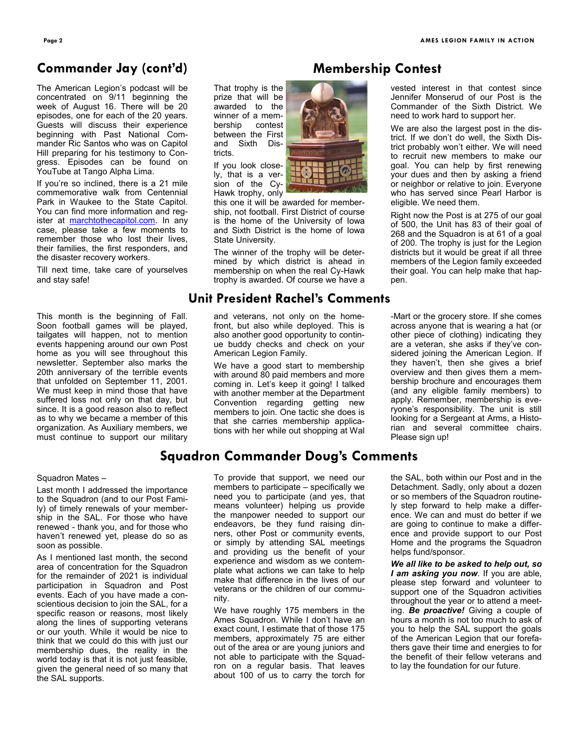#### **Commander Jay (cont'd)**

The American Legion's podcast will be concentrated on 9/11 beginning the week of August 16. There will be 20 episodes, one for each of the 20 years. Guests will discuss their experience beginning with Past National Commander Ric Santos who was on Capitol Hill preparing for his testimony to Congress. Episodes can be found on YouTube at Tango Alpha Lima.

If you're so inclined, there is a 21 mile commemorative walk from Centennial Park in Waukee to the State Capitol. You can find more information and register at [marchtothecapitol.com.](http://marchtothecapitol.com/) In any case, please take a few moments to remember those who lost their lives, their families, the first responders, and the disaster recovery workers.

Till next time, take care of yourselves and stay safe!

This month is the beginning of Fall. Soon football games will be played, tailgates will happen, not to mention events happening around our own Post home as you will see throughout this newsletter. September also marks the 20th anniversary of the terrible events that unfolded on September 11, 2001. We must keep in mind those that have suffered loss not only on that day, but since. It is a good reason also to reflect as to why we became a member of this organization. As Auxiliary members, we must continue to support our military

#### Squadron Mates –

Last month I addressed the importance to the Squadron (and to our Post Family) of timely renewals of your membership in the SAL. For those who have renewed - thank you, and for those who haven't renewed yet, please do so as soon as possible.

As I mentioned last month, the second area of concentration for the Squadron for the remainder of 2021 is individual participation in Squadron and Post events. Each of you have made a conscientious decision to join the SAL, for a specific reason or reasons, most likely along the lines of supporting veterans or our youth. While it would be nice to think that we could do this with just our membership dues, the reality in the world today is that it is not just feasible, given the general need of so many that the SAL supports.

#### **Membership Contest**

That trophy is the prize that will be awarded to the winner of a membership contest between the First and Sixth Districts.

If you look closely, that is a version of the Cy-Hawk trophy, only

this one it will be awarded for membership, not football. First District of course is the home of the University of Iowa and Sixth District is the home of Iowa State University.

The winner of the trophy will be determined by which district is ahead in membership on when the real Cy-Hawk trophy is awarded. Of course we have a

#### **Unit President Rachel's Comments**

and veterans, not only on the homefront, but also while deployed. This is also another good opportunity to continue buddy checks and check on your American Legion Family.

We have a good start to membership with around 80 paid members and more coming in. Let's keep it going! I talked with another member at the Department Convention regarding getting new members to join. One tactic she does is that she carries membership applications with her while out shopping at Wal

#### **Squadron Commander Doug's Comments**

To provide that support, we need our members to participate – specifically we need you to participate (and yes, that means volunteer) helping us provide the manpower needed to support our endeavors, be they fund raising dinners, other Post or community events, or simply by attending SAL meetings and providing us the benefit of your experience and wisdom as we contemplate what actions we can take to help make that difference in the lives of our veterans or the children of our community.

We have roughly 175 members in the Ames Squadron. While I don't have an exact count, I estimate that of those 175 members, approximately 75 are either out of the area or are young juniors and not able to participate with the Squadron on a regular basis. That leaves about 100 of us to carry the torch for

vested interest in that contest since Jennifer Monserud of our Post is the Commander of the Sixth District. We need to work hard to support her.

We are also the largest post in the district. If we don't do well, the Sixth District probably won't either. We will need to recruit new members to make our goal. You can help by first renewing your dues and then by asking a friend or neighbor or relative to join. Everyone who has served since Pearl Harbor is eligible. We need them.

Right now the Post is at 275 of our goal of 500, the Unit has 83 of their goal of 268 and the Squadron is at 61 of a goal of 200. The trophy is just for the Legion districts but it would be great if all three members of the Legion family exceeded their goal. You can help make that happen.

-Mart or the grocery store. If she comes across anyone that is wearing a hat (or other piece of clothing) indicating they are a veteran, she asks if they've considered joining the American Legion. If they haven't, then she gives a brief overview and then gives them a membership brochure and encourages them (and any eligible family members) to apply. Remember, membership is everyone's responsibility. The unit is still looking for a Sergeant at Arms, a Historian and several committee chairs. Please sign up!

the SAL, both within our Post and in the Detachment. Sadly, only about a dozen or so members of the Squadron routinely step forward to help make a difference. We can and must do better if we are going to continue to make a difference and provide support to our Post Home and the programs the Squadron helps fund/sponsor.

*We all like to be asked to help out, so I am asking you now*. If you are able, please step forward and volunteer to support one of the Squadron activities throughout the year or to attend a meeting. *Be proactive!* Giving a couple of hours a month is not too much to ask of you to help the SAL support the goals of the American Legion that our forefathers gave their time and energies to for the benefit of their fellow veterans and to lay the foundation for our future.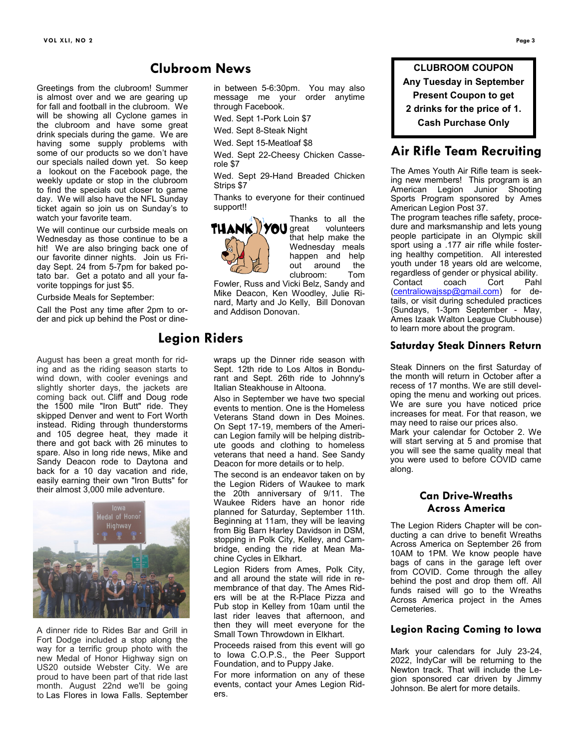Greetings from the clubroom! Summer is almost over and we are gearing up for fall and football in the clubroom. We will be showing all Cyclone games in the clubroom and have some great drink specials during the game. We are having some supply problems with some of our products so we don't have our specials nailed down yet. So keep a lookout on the Facebook page, the weekly update or stop in the clubroom to find the specials out closer to game day. We will also have the NFL Sunday ticket again so join us on Sunday's to watch your favorite team.

We will continue our curbside meals on Wednesday as those continue to be a hit! We are also bringing back one of our favorite dinner nights. Join us Friday Sept. 24 from 5-7pm for baked potato bar. Get a potato and all your favorite toppings for just \$5.

Curbside Meals for September:

Call the Post any time after 2pm to order and pick up behind the Post or dine-

August has been a great month for riding and as the riding season starts to wind down, with cooler evenings and slightly shorter days, the jackets are coming back out. Cliff and Doug rode the 1500 mile "Iron Butt" ride. They skipped Denver and went to Fort Worth instead. Riding through thunderstorms and 105 degree heat, they made it there and got back with 26 minutes to spare. Also in long ride news, Mike and Sandy Deacon rode to Daytona and back for a 10 day vacation and ride, easily earning their own "Iron Butts" for their almost 3,000 mile adventure.



A dinner ride to Rides Bar and Grill in Fort Dodge included a stop along the way for a terrific group photo with the new Medal of Honor Highway sign on US20 outside Webster City. We are proud to have been part of that ride last month. August 22nd we'll be going to Las Flores in Iowa Falls. September

in between 5-6:30pm. You may also message me your order anytime through Facebook.

Wed. Sept 1-Pork Loin \$7

Wed. Sept 8-Steak Night

Wed. Sept 15-Meatloaf \$8

Wed. Sept 22-Cheesy Chicken Casserole \$7

Wed. Sept 29-Hand Breaded Chicken Strips \$7

Thanks to everyone for their continued support!!



Thanks to all the that help make the Wednesday meals happen and help<br>out around the out around the<br>clubroom: Tom clubroom:

Fowler, Russ and Vicki Belz, Sandy and Mike Deacon, Ken Woodley, Julie Rinard, Marty and Jo Kelly, Bill Donovan and Addison Donovan.

#### **Legion Riders**

**Clubroom News**

wraps up the Dinner ride season with Sept. 12th ride to Los Altos in Bondurant and Sept. 26th ride to Johnny's Italian Steakhouse in Altoona.

Also in September we have two special events to mention. One is the Homeless Veterans Stand down in Des Moines. On Sept 17-19, members of the American Legion family will be helping distribute goods and clothing to homeless veterans that need a hand. See Sandy Deacon for more details or to help.

The second is an endeavor taken on by the Legion Riders of Waukee to mark the 20th anniversary of 9/11. The Waukee Riders have an honor ride planned for Saturday, September 11th. Beginning at 11am, they will be leaving from Big Barn Harley Davidson in DSM, stopping in Polk City, Kelley, and Cambridge, ending the ride at Mean Machine Cycles in Elkhart.

Legion Riders from Ames, Polk City, and all around the state will ride in remembrance of that day. The Ames Riders will be at the R-Place Pizza and Pub stop in Kelley from 10am until the last rider leaves that afternoon, and then they will meet everyone for the Small Town Throwdown in Elkhart.

Proceeds raised from this event will go to Iowa C.O.P.S., the Peer Support Foundation, and to Puppy Jake.

For more information on any of these events, contact your Ames Legion Riders.

**CLUBROOM COUPON Any Tuesday in September Present Coupon to get 2 drinks for the price of 1. Cash Purchase Only**

#### **Air Rifle Team Recruiting**

The Ames Youth Air Rifle team is seeking new members! This program is an American Legion Junior Shooting Sports Program sponsored by Ames American Legion Post 37.

The program teaches rifle safety, procedure and marksmanship and lets young people participate in an Olympic skill sport using a .177 air rifle while fostering healthy competition. All interested youth under 18 years old are welcome, regardless of gender or physical ability.<br>Contact coach Cort Pah Contact coach Cort Pahl [\(centraliowajssp@gmail.com\)](mailto:centraliowajssp@gmail.com) for details, or visit during scheduled practices (Sundays, 1-3pm September - May, Ames Izaak Walton League Clubhouse) to learn more about the program.

#### **Saturday Steak Dinners Return**

Steak Dinners on the first Saturday of the month will return in October after a recess of 17 months. We are still developing the menu and working out prices. We are sure you have noticed price increases for meat. For that reason, we may need to raise our prices also. Mark your calendar for October 2. We

will start serving at 5 and promise that you will see the same quality meal that you were used to before COVID came along.

#### **Can Drive-Wreaths Across America**

The Legion Riders Chapter will be conducting a can drive to benefit Wreaths Across America on September 26 from 10AM to 1PM. We know people have bags of cans in the garage left over from COVID. Come through the alley behind the post and drop them off. All funds raised will go to the Wreaths Across America project in the Ames Cemeteries.

#### **Legion Racing Coming to Iowa**

Mark your calendars for July 23-24, 2022, IndyCar will be returning to the Newton track. That will include the Legion sponsored car driven by Jimmy Johnson. Be alert for more details.